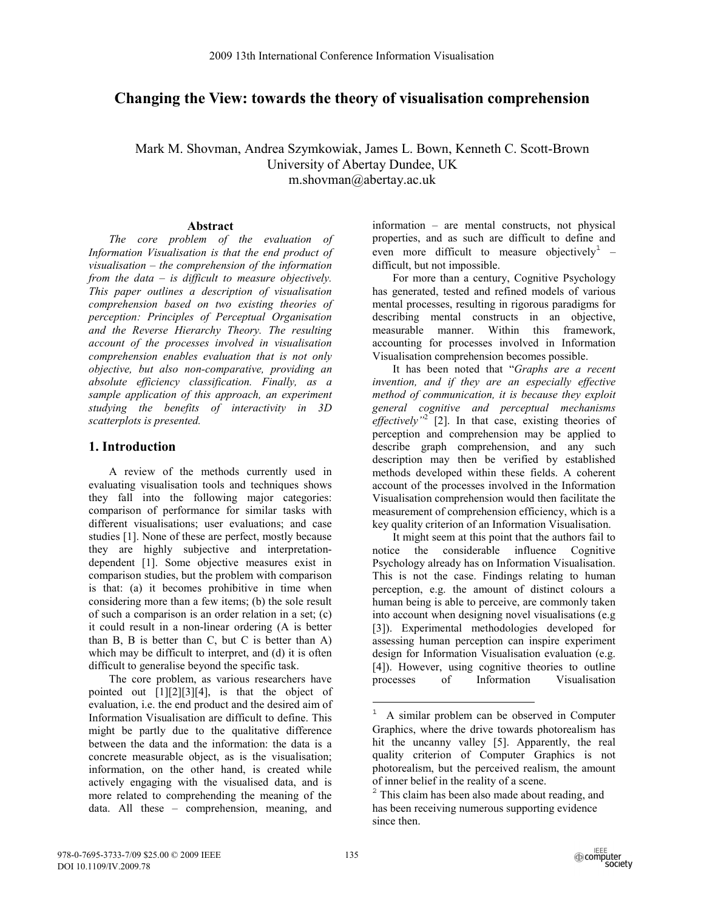# **Changing the View: towards the theory of visualisation comprehension**

Mark M. Shovman, Andrea Szymkowiak, James L. Bown, Kenneth C. Scott-Brown University of Abertay Dundee, UK m.shovman@abertay.ac.uk

#### **Abstract**

*The core problem of the evaluation of Information Visualisation is that the end product of visualisation – the comprehension of the information from the data – is difficult to measure objectively. This paper outlines a description of visualisation comprehension based on two existing theories of perception: Principles of Perceptual Organisation and the Reverse Hierarchy Theory. The resulting account of the processes involved in visualisation comprehension enables evaluation that is not only objective, but also non-comparative, providing an absolute efficiency classification. Finally, as a sample application of this approach, an experiment studying the benefits of interactivity in 3D scatterplots is presented.* 

## **1. Introduction**

A review of the methods currently used in evaluating visualisation tools and techniques shows they fall into the following major categories: comparison of performance for similar tasks with different visualisations; user evaluations; and case studies [1]. None of these are perfect, mostly because they are highly subjective and interpretationdependent [1]. Some objective measures exist in comparison studies, but the problem with comparison is that: (a) it becomes prohibitive in time when considering more than a few items; (b) the sole result of such a comparison is an order relation in a set; (c) it could result in a non-linear ordering (A is better than  $B$ ,  $B$  is better than  $C$ , but  $C$  is better than  $A$ ) which may be difficult to interpret, and (d) it is often difficult to generalise beyond the specific task.

The core problem, as various researchers have pointed out  $[1][2][3][4]$ , is that the object of evaluation, i.e. the end product and the desired aim of Information Visualisation are difficult to define. This might be partly due to the qualitative difference between the data and the information: the data is a concrete measurable object, as is the visualisation; information, on the other hand, is created while actively engaging with the visualised data, and is more related to comprehending the meaning of the data. All these – comprehension, meaning, and

information – are mental constructs, not physical properties, and as such are difficult to define and even more difficult to measure objectively<sup>1</sup>  $$ difficult, but not impossible.

For more than a century, Cognitive Psychology has generated, tested and refined models of various mental processes, resulting in rigorous paradigms for describing mental constructs in an objective, measurable manner. Within this framework, accounting for processes involved in Information Visualisation comprehension becomes possible.

It has been noted that "*Graphs are a recent invention, and if they are an especially effective method of communication, it is because they exploit general cognitive and perceptual mechanisms*  effectively"<sup>2</sup>[2]. In that case, existing theories of perception and comprehension may be applied to describe graph comprehension, and any such description may then be verified by established methods developed within these fields. A coherent account of the processes involved in the Information Visualisation comprehension would then facilitate the measurement of comprehension efficiency, which is a key quality criterion of an Information Visualisation.

It might seem at this point that the authors fail to notice the considerable influence Cognitive Psychology already has on Information Visualisation. This is not the case. Findings relating to human perception, e.g. the amount of distinct colours a human being is able to perceive, are commonly taken into account when designing novel visualisations (e.g [3]). Experimental methodologies developed for assessing human perception can inspire experiment design for Information Visualisation evaluation (e.g. [4]). However, using cognitive theories to outline processes of Information Visualisation

 $1$  A similar problem can be observed in Computer Graphics, where the drive towards photorealism has hit the uncanny valley [5]. Apparently, the real quality criterion of Computer Graphics is not photorealism, but the perceived realism, the amount of inner belief in the reality of a scene.

<sup>&</sup>lt;sup>2</sup> This claim has been also made about reading, and has been receiving numerous supporting evidence since then.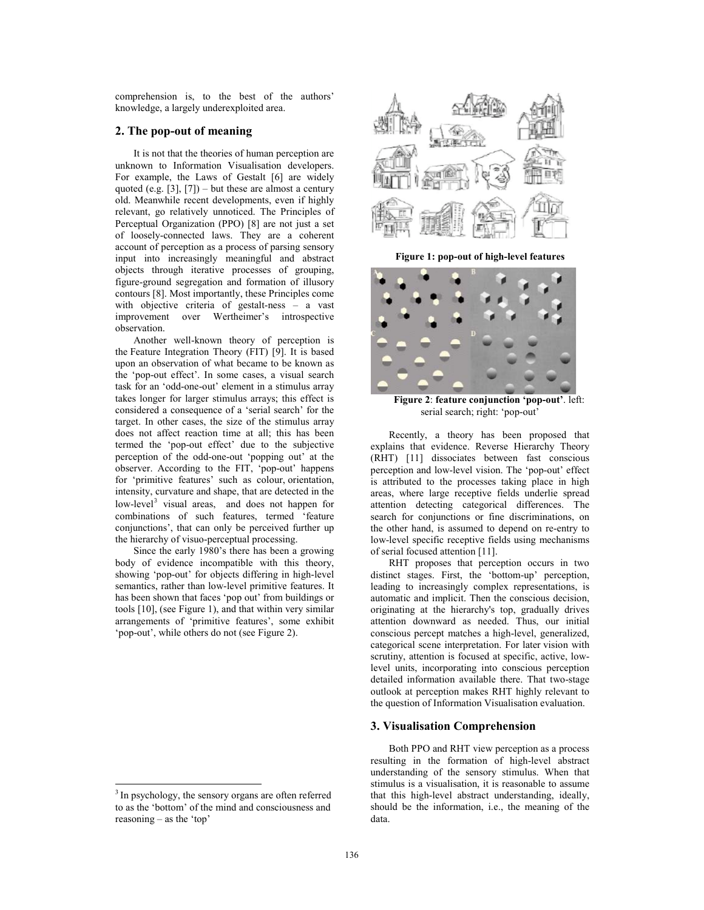comprehension is, to the best of the authors' knowledge, a largely underexploited area.

## **2. The pop-out of meaning**

It is not that the theories of human perception are unknown to Information Visualisation developers. For example, the Laws of Gestalt [6] are widely quoted (e.g.  $[3]$ ,  $[7]$ ) – but these are almost a century old. Meanwhile recent developments, even if highly relevant, go relatively unnoticed. The Principles of Perceptual Organization (PPO) [8] are not just a set of loosely-connected laws. They are a coherent account of perception as a process of parsing sensory input into increasingly meaningful and abstract objects through iterative processes of grouping, figure-ground segregation and formation of illusory contours [8]. Most importantly, these Principles come with objective criteria of gestalt-ness – a vast improvement over Wertheimer's introspective observation.

Another well-known theory of perception is the Feature Integration Theory (FIT) [9]. It is based upon an observation of what became to be known as the 'pop-out effect'. In some cases, a visual search task for an 'odd-one-out' element in a stimulus array takes longer for larger stimulus arrays; this effect is considered a consequence of a 'serial search' for the target. In other cases, the size of the stimulus array does not affect reaction time at all; this has been termed the 'pop-out effect' due to the subjective perception of the odd-one-out 'popping out' at the observer. According to the FIT, 'pop-out' happens for 'primitive features' such as colour, orientation, intensity, curvature and shape, that are detected in the low-level<sup>3</sup> visual areas, and does not happen for combinations of such features, termed 'feature conjunctions', that can only be perceived further up the hierarchy of visuo-perceptual processing.

Since the early 1980's there has been a growing body of evidence incompatible with this theory, showing 'pop-out' for objects differing in high-level semantics, rather than low-level primitive features. It has been shown that faces 'pop out' from buildings or tools [10], (see Figure 1), and that within very similar arrangements of 'primitive features', some exhibit 'pop-out', while others do not (see Figure 2).



J.



**Figure 1: pop-out of high-level features** 



**Figure 2**: **feature conjunction 'pop-out'**. left: serial search; right: 'pop-out'

Recently, a theory has been proposed that explains that evidence. Reverse Hierarchy Theory (RHT) [11] dissociates between fast conscious perception and low-level vision. The 'pop-out' effect is attributed to the processes taking place in high areas, where large receptive fields underlie spread attention detecting categorical differences. The search for conjunctions or fine discriminations, on the other hand, is assumed to depend on re-entry to low-level specific receptive fields using mechanisms of serial focused attention [11].

RHT proposes that perception occurs in two distinct stages. First, the 'bottom-up' perception, leading to increasingly complex representations, is automatic and implicit. Then the conscious decision, originating at the hierarchy's top, gradually drives attention downward as needed. Thus, our initial conscious percept matches a high-level, generalized, categorical scene interpretation. For later vision with scrutiny, attention is focused at specific, active, lowlevel units, incorporating into conscious perception detailed information available there. That two-stage outlook at perception makes RHT highly relevant to the question of Information Visualisation evaluation.

## **3. Visualisation Comprehension**

Both PPO and RHT view perception as a process resulting in the formation of high-level abstract understanding of the sensory stimulus. When that stimulus is a visualisation, it is reasonable to assume that this high-level abstract understanding, ideally, should be the information, i.e., the meaning of the data.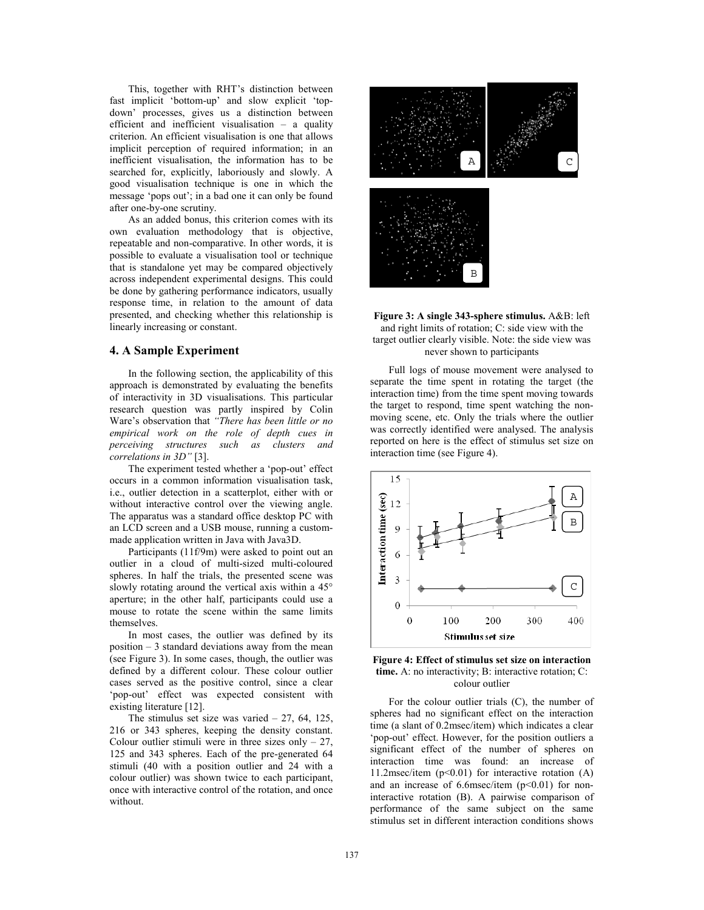This, together with RHT's distinction between fast implicit 'bottom-up' and slow explicit 'topdown' processes, gives us a distinction between efficient and inefficient visualisation – a quality criterion. An efficient visualisation is one that allows implicit perception of required information; in an inefficient visualisation, the information has to be searched for, explicitly, laboriously and slowly. A good visualisation technique is one in which the message 'pops out'; in a bad one it can only be found after one-by-one scrutiny.

As an added bonus, this criterion comes with its own evaluation methodology that is objective, repeatable and non-comparative. In other words, it is possible to evaluate a visualisation tool or technique that is standalone yet may be compared objectively across independent experimental designs. This could be done by gathering performance indicators, usually response time, in relation to the amount of data presented, and checking whether this relationship is linearly increasing or constant.

#### **4. A Sample Experiment**

In the following section, the applicability of this approach is demonstrated by evaluating the benefits of interactivity in 3D visualisations. This particular research question was partly inspired by Colin Ware's observation that *"There has been little or no empirical work on the role of depth cues in perceiving structures such as clusters and correlations in 3D"* [3].

The experiment tested whether a 'pop-out' effect occurs in a common information visualisation task, i.e., outlier detection in a scatterplot, either with or without interactive control over the viewing angle. The apparatus was a standard office desktop PC with an LCD screen and a USB mouse, running a custommade application written in Java with Java3D.

Participants (11f/9m) were asked to point out an outlier in a cloud of multi-sized multi-coloured spheres. In half the trials, the presented scene was slowly rotating around the vertical axis within a 45° aperture; in the other half, participants could use a mouse to rotate the scene within the same limits themselves.

In most cases, the outlier was defined by its position – 3 standard deviations away from the mean (see Figure 3). In some cases, though, the outlier was defined by a different colour. These colour outlier cases served as the positive control, since a clear 'pop-out' effect was expected consistent with existing literature [12].

The stimulus set size was varied  $-27$ , 64, 125, 216 or 343 spheres, keeping the density constant. Colour outlier stimuli were in three sizes only  $-27$ , 125 and 343 spheres. Each of the pre-generated 64 stimuli (40 with a position outlier and 24 with a colour outlier) was shown twice to each participant, once with interactive control of the rotation, and once without.





Full logs of mouse movement were analysed to separate the time spent in rotating the target (the interaction time) from the time spent moving towards the target to respond, time spent watching the nonmoving scene, etc. Only the trials where the outlier was correctly identified were analysed. The analysis reported on here is the effect of stimulus set size on interaction time (see Figure 4).



**Figure 4: Effect of stimulus set size on interaction time.** A: no interactivity; B: interactive rotation; C: colour outlier

For the colour outlier trials (C), the number of spheres had no significant effect on the interaction time (a slant of 0.2msec/item) which indicates a clear 'pop-out' effect. However, for the position outliers a significant effect of the number of spheres on interaction time was found: an increase of 11.2msec/item  $(p<0.01)$  for interactive rotation  $(A)$ and an increase of  $6.6$ msec/item  $(p<0.01)$  for noninteractive rotation (B). A pairwise comparison of performance of the same subject on the same stimulus set in different interaction conditions shows